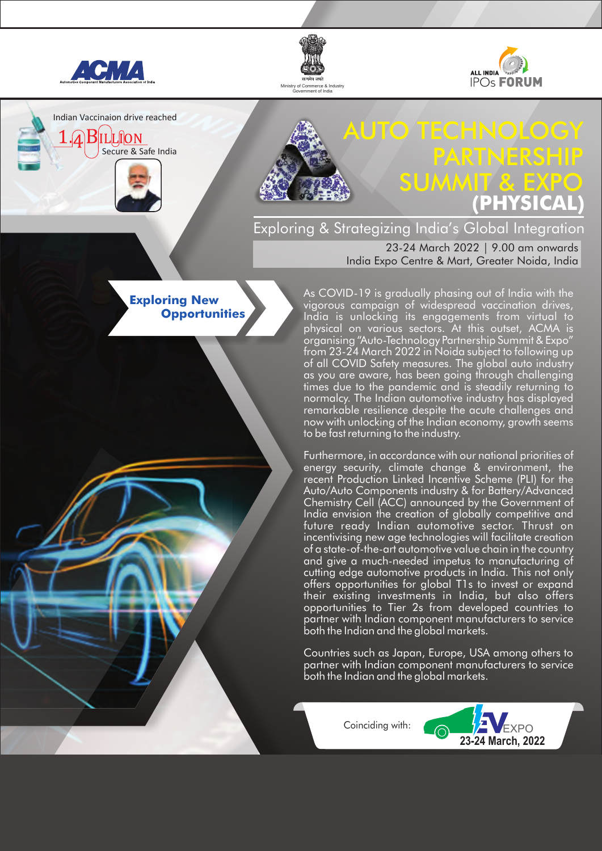

Indian Vaccinaion drive reached

**BILLION** 

Secure & Safe India

**Exploring New** 

 **Opportunities**





# AUTO TECHNOLOGY PARTNERSHIP SUMMIT & EXPO **(PHYSICAL)**

Exploring & Strategizing India's Global Integration

23-24 March 2022 | 9.00 am onwards India Expo Centre & Mart, Greater Noida, India

As COVID-19 is gradually phasing out of India with the vigorous campaign of widespread vaccination drives, India is unlocking its engagements from virtual to physical on various sectors. At this outset, ACMA is organising "Auto-Technology Partnership Summit & Expo" from 23-24 March 2022 in Noida subject to following up of all COVID Safety measures. The global auto industry as you are aware, has been going through challenging times due to the pandemic and is steadily returning to normalcy. The Indian automotive industry has displayed remarkable resilience despite the acute challenges and now with unlocking of the Indian economy, growth seems to be fast returning to the industry.

Furthermore, in accordance with our national priorities of energy security, climate change & environment, the recent Production Linked Incentive Scheme (PLI) for the Auto/Auto Components industry & for Battery/Advanced Chemistry Cell (ACC) announced by the Government of India envision the creation of globally competitive and future ready Indian automotive sector. Thrust on incentivising new age technologies will facilitate creation of a state-of-the-art automotive value chain in the country and give a much-needed impetus to manufacturing of cutting edge automotive products in India. This not only offers opportunities for global T1s to invest or expand their existing investments in India, but also offers opportunities to Tier 2s from developed countries to partner with Indian component manufacturers to service both the Indian and the global markets.

Countries such as Japan, Europe, USA among others to partner with Indian component manufacturers to service both the Indian and the global markets.

Coinciding with:

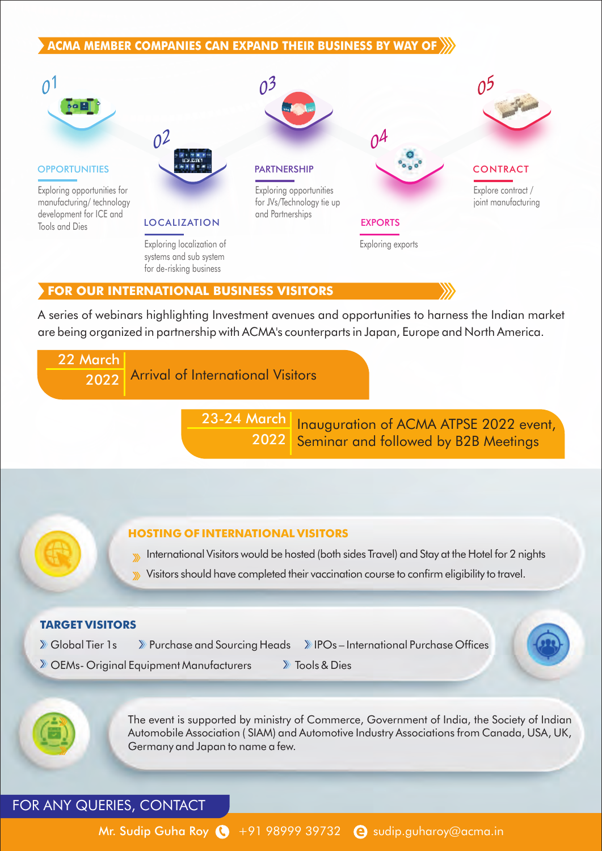# **ACMA MEMBER COMPANIES CAN EXPAND THEIR BUSINESS BY WAY OF**



#### **FOR OUR INTERNATIONAL BUSINESS VISITORS**

A series of webinars highlighting Investment avenues and opportunities to harness the Indian market are being organized in partnership with ACMA's counterparts in Japan, Europe and North America.



The event is supported by ministry of Commerce, Government of India, the Society of Indian Automobile Association ( SIAM) and Automotive Industry Associations from Canada, USA, UK, Germany and Japan to name a few.

FOR ANY QUERIES, CONTACT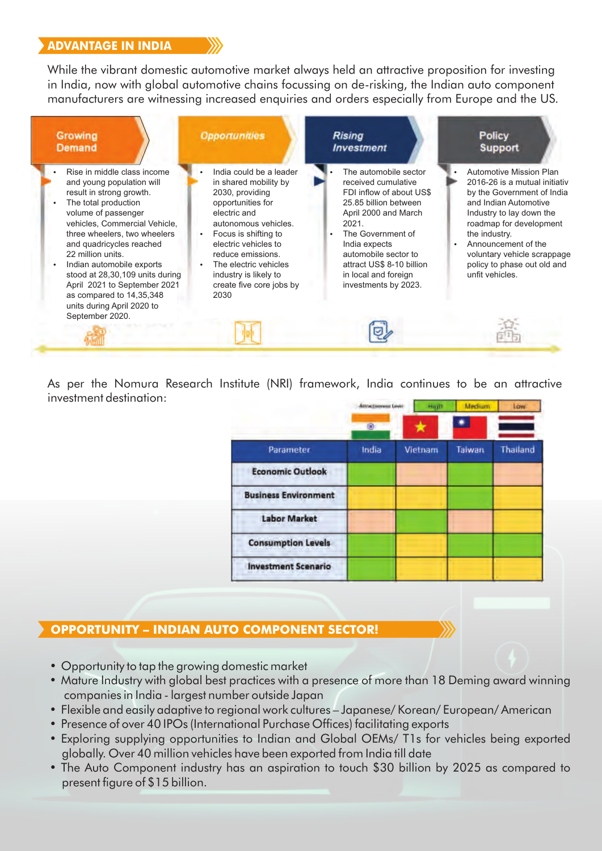# **ADVANTAGE IN INDIA**

While the vibrant domestic automotive market always held an attractive proposition for investing in India, now with global automotive chains focussing on de-risking, the Indian auto component manufacturers are witnessing increased enquiries and orders especially from Europe and the US.



As per the Nomura Research Institute (NRI) framework, India continues to be an attractive investment destination:

|                             | <b>Attractiveness Level</b> | Hight   | Medium | Law.            |
|-----------------------------|-----------------------------|---------|--------|-----------------|
|                             | 圓                           |         |        |                 |
| Parameter                   | India                       | Vietnam | Taiwan | <b>Thailand</b> |
| <b>Economic Outlook</b>     |                             |         |        |                 |
| <b>Business Environment</b> |                             |         |        |                 |
| <b>Labor Market</b>         |                             |         |        |                 |
| <b>Consumption Levels</b>   |                             |         |        |                 |
| <b>Investment Scenario</b>  |                             |         |        |                 |
|                             |                             |         |        |                 |

# **OPPORTUNITY – INDIAN AUTO COMPONENT SECTOR!**

- Opportunity to tap the growing domestic market
- Mature Industry with global best practices with a presence of more than 18 Deming award winning companies in India - largest number outside Japan
- Flexible and easily adaptive to regional work cultures Japanese/ Korean/ European/ American
- Presence of over 40 IPOs (International Purchase Offices) facilitating exports
- Exploring supplying opportunities to Indian and Global OEMs/ T1s for vehicles being exported globally. Over 40 million vehicles have been exported from India till date
- The Auto Component industry has an aspiration to touch \$30 billion by 2025 as compared to present figure of \$15 billion.